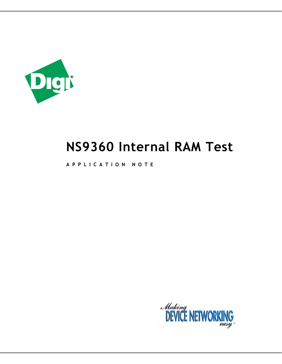

# **NS9360 Internal RAM Test**

**APPLICATION NOTE** 

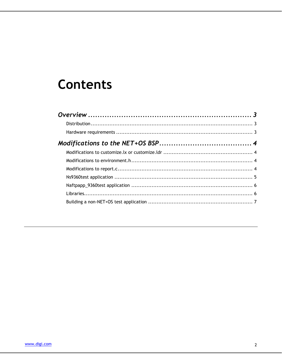# **Contents**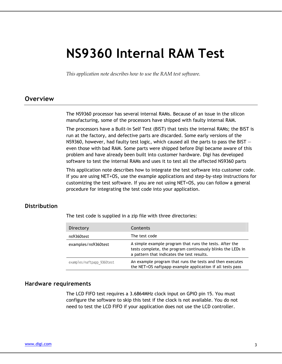# **NS9360 Internal RAM Test**

*This application note describes how to use the RAM test software.* 

# **Overview**

The NS9360 processor has several internal RAMs. Because of an issue in the silicon manufacturing, some of the processors have shipped with faulty internal RAM.

The processors have a Built-In Self Test (BIST) that tests the internal RAMs; the BIST is run at the factory, and defective parts are discarded. Some early versions of the NS9360, however, had faulty test logic, which caused all the parts to pass the BIST  $$ even those with bad RAM. Some parts were shipped before Digi became aware of this problem and have already been built into customer hardware. Digi has developed software to test the internal RAMs and uses it to test all the affected NS9360 parts

This application note describes how to integrate the test software into customer code. If you are using NET+OS, use the example applications and step-by-step instructions for customizing the test software. If you are not using NET+OS, you can follow a general procedure for integrating the test code into your application.

## **Distribution**

The test code is supplied in a zip file with three directories:

| <b>Directory</b>           | <b>Contents</b>                                                                                                                                                      |
|----------------------------|----------------------------------------------------------------------------------------------------------------------------------------------------------------------|
| ns9360test                 | The test code                                                                                                                                                        |
| examples/ns9360test        | A simple example program that runs the tests. After the<br>tests complete, the program continuously blinks the LEDs in<br>a pattern that indicates the test results. |
| examples/naftpapp 9360test | An example program that runs the tests and then executes<br>the NET+OS naftpapp example application if all tests pass                                                |

#### **Hardware requirements**

The LCD FIFO test requires a 3.6864MHz clock input on GPIO pin 15. You must configure the software to skip this test if the clock is not available. You do not need to test the LCD FIFO if your application does not use the LCD controller.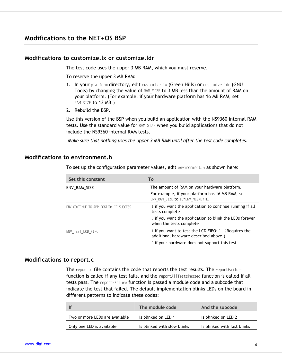# **Modifications to the NET+OS BSP**

#### **Modifications to customize.lx or customize.ldr**

The test code uses the upper 3 MB RAM, which you must reserve.

To reserve the upper 3 MB RAM:

- 1. In your platform directory, edit customize.lx (Green Hills) or customize.ldr (GNU Tools) by changing the value of RAM SIZE to 3 MB less than the amount of RAM on your platform. (For example, if your hardware platform has 16 MB RAM, set RAM SIZE to 13 MB.)
- 2. Rebuild the BSP.

Use this version of the BSP when you build an application with the NS9360 internal RAM tests. Use the standard value for RAM\_SIZE when you build applications that do not include the NS9360 internal RAM tests.

*Make sure that nothing uses the upper 3 MB RAM until after the test code complete*s.

### **Modifications to environment.h**

To set up the configuration parameter values, edit environment.h as shown here:

| Set this constant                      | To                                                                                                                                   |
|----------------------------------------|--------------------------------------------------------------------------------------------------------------------------------------|
| ENV RAM SIZE                           | The amount of RAM on your hardware platform.<br>For example, if your platform has 16 MB RAM, set<br>ENV RAM SIZE to 16*ENV MEGABYTE. |
| ENV CONTINUE TO APPLICATION IF SUCCESS | 1 if you want the application to continue running if all<br>tests complete                                                           |
|                                        | 0 if you want the application to blink the LEDs forever<br>when the tests complete                                                   |
| ENV TEST LCD FIFO                      | 1 if you want to test the LCD FIFO: 1. (Requires the<br>additional hardware described above.)                                        |
|                                        | 0 if your hardware does not support this test                                                                                        |

#### **Modifications to report.c**

The report.c file contains the code that reports the test results. The reportFailure function is called if any test fails, and the reportAllTestsPassed function is called if all tests pass. The reportFailure function is passed a module code and a subcode that indicate the test that failed. The default implementation blinks LEDs on the board in different patterns to indicate these codes:

| -lf                            | The module code             | And the subcode             |
|--------------------------------|-----------------------------|-----------------------------|
| Two or more LEDs are available | Is blinked on LED 1         | Is blinked on LED 2         |
| Only one LED is available      | Is blinked with slow blinks | Is blinked with fast blinks |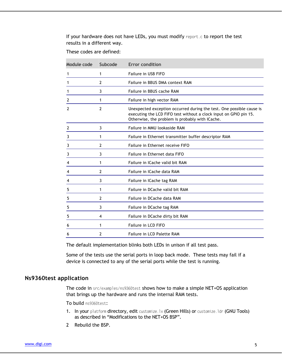If your hardware does not have LEDs, you must modify report.c to report the test results in a different way.

These codes are defined:

| Subcode        | <b>Error condition</b>                                                                                                                                                                       |
|----------------|----------------------------------------------------------------------------------------------------------------------------------------------------------------------------------------------|
| 1              | Failure in USB FIFO                                                                                                                                                                          |
| $\overline{2}$ | Failure in BBUS DMA context RAM                                                                                                                                                              |
| 3              | Failure in BBUS cache RAM                                                                                                                                                                    |
| 1              | Failure in high vector RAM                                                                                                                                                                   |
| $\overline{2}$ | Unexpected exception occurred during the test. One possible cause is<br>executing the LCD FIFO test without a clock input on GPIO pin 15.<br>Otherwise, the problem is probably with ICache. |
| 3              | Failure in MMU lookaside RAM                                                                                                                                                                 |
| 1              | Failure in Ethernet transmitter buffer descriptor RAM                                                                                                                                        |
| $\overline{2}$ | Failure in Ethernet receive FIFO                                                                                                                                                             |
| 3              | Failure in Ethernet data FIFO                                                                                                                                                                |
| 1              | Failure in ICache valid bit RAM                                                                                                                                                              |
| 2              | Failure in ICache data RAM                                                                                                                                                                   |
| 3              | Failure in ICache tag RAM                                                                                                                                                                    |
| 1              | Failure in DCache valid bit RAM                                                                                                                                                              |
| 2              | Failure in DCache data RAM                                                                                                                                                                   |
| 3              | Failure in DCache tag RAM                                                                                                                                                                    |
| 4              | Failure in DCache dirty bit RAM                                                                                                                                                              |
| 1              | Failure in LCD FIFO                                                                                                                                                                          |
| 2              | Failure in LCD Palette RAM                                                                                                                                                                   |
|                |                                                                                                                                                                                              |

The default implementation blinks both LEDs in unison if all test pass.

Some of the tests use the serial ports in loop back mode. These tests may fail if a device is connected to any of the serial ports while the test is running.

## **Ns9360test application**

The code in src/examples/ns9360test shows how to make a simple NET+OS application that brings up the hardware and runs the internal RAM tests.

To build ns9360test:

- 1. In your platform directory, edit customize.lx (Green Hills) or customize.ldr (GNU Tools) as described in "Modifications to the NET+OS BSP".
- 2 Rebuild the BSP.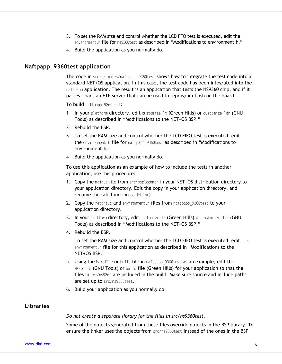- 3. To set the RAM size and control whether the LCD FFO test is executed, edit the environment.h file for ns9360test as described in "Modifications to environment.h."
- 4. Build the application as you normally do.

## **Naftpapp\_9360test application**

The code in src/examples/naftpapp\_9360test shows how to integrate the test code into a standard NET+OS application. In this case, the test code has been integrated into the naftpapp application. The result is an application that tests the NS9360 chip, and if it passes, loads an FTP server that can be used to reprogram flash on the board.

To build naftpapp 9360test:

- 1 In your platform directory, edit customize.lx (Green Hills) or customize.ldr (GNU Tools) as described in "Modifications to the NET+OS BSP."
- 2 Rebuild the BSP.
- 3 To set the RAM size and control whether the LCD FIFO test is executed, edit the environment.h file for naftpapp\_9360test as described in "Modifications to environment.h."
- 4 Build the application as you normally do.

To use this application as an example of how to include the tests in another application, use this procedure:

- 1. Copy the main.c file from src\bsp\common in your NET+OS distribution directory to your application directory. Edit the copy in your application directory, and rename the main function realMain().
- 2. Copy the report.c and environment.h files from naftpapp 9360test to your application directory.
- 3. In your platform directory, edit customize.lx (Green Hills) or customize.ldr (GNU Tools) as described in "Modifications to the NET+OS BSP."
- 4. Rebuild the BSP.

To set the RAM size and control whether the LCD FIFO test is executed, edit the environment.h file for this application as described in "Modifications to the NET+OS BSP."

- 5. Using the Makefile or build file in naftpapp 9360test as an example, edit the Makefile (GNU Tools) or build file (Green Hills) for your application so that the files in src/ns9360 are included in the build. Make sure source and include paths are set up to src/ns9360test.
- 6. Build your application as you normally do.

## **Libraries**

*Do not create a separate library for the files in src/ns9360test*.

Some of the objects generated from these files override objects in the BSP library. To ensure the linker uses the objects from src/ns9360test instead of the ones in the BSP